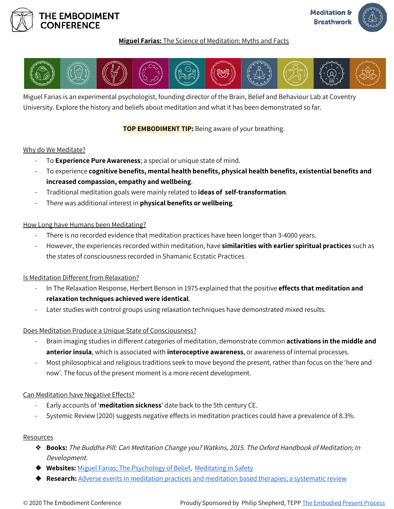

## **Miguel Farias:** The Science of Meditation: Myths and Facts



Miguel Farias is an experimental psychologist, founding director of the Brain, Belief and Behaviour Lab at Coventry University. Explore the history and beliefs about meditation and what it has been demonstrated so far.

**TOP EMBODIMENT TIP:** Being aware of your breathing.

#### Why do We Meditate?

- To **Experience Pure Awareness**; a special or unique state of mind.
- To experience **cognitive benefits, mental health benefits, physical health benefits, existential benefits and increased compassion, empathy and wellbeing**.
- Traditional meditation goals were mainly related to **ideas of self-transformation**.
- There was additional interest in **physical benefits or wellbeing**.

## How Long have Humans been Meditating?

- There is no recorded evidence that meditation practices have been longer than 3-4000 years.
- However, the experiences recorded within meditation, have **similarities with earlier spiritual practices** such as the states of consciousness recorded in Shamanic Ecstatic Practices

# Is Meditation Different from Relaxation?

- In The Relaxation Response, Herbert Benson in 1975 explained that the positive **effects that meditation and relaxation techniques achieved were identical**.
- Later studies with control groups using relaxation techniques have demonstrated mixed results.

#### Does Meditation Produce a Unique State of Consciousness?

- Brain imaging studies in different categories of meditation, demonstrate common **activations in the middle and anterior insula**, which is associated with **interoceptive awareness**, or awareness of internal processes.
- Most philosophical and religious traditions seek to move beyond the present, rather than focus on the 'here and now'. The focus of the present moment is a more recent development.

#### Can Meditation have Negative Effects?

- Early accounts of '**meditation sickness**' date back to the 5th century CE.
- Systemic Review (2020) suggests negative effects in meditation practices could have a prevalence of 8.3%.

#### Resources

- ❖ **Books:** The Buddha Pill: Can Meditation Change you? Watkins, 2015. The Oxford Handbook of Meditation; In Development.
- ❖ **Websites:** Miguel Farias; The [Psychology](http://miguelfarias.co.uk/) of Belief, [Meditating](http://meditatinginsafety.org.uk/) in Safety
- ❖ **Research:** Adverse events in [meditation](https://onlinelibrary.wiley.com/doi/full/10.1111/acps.13225) practices and meditation based therapies; a systematic review